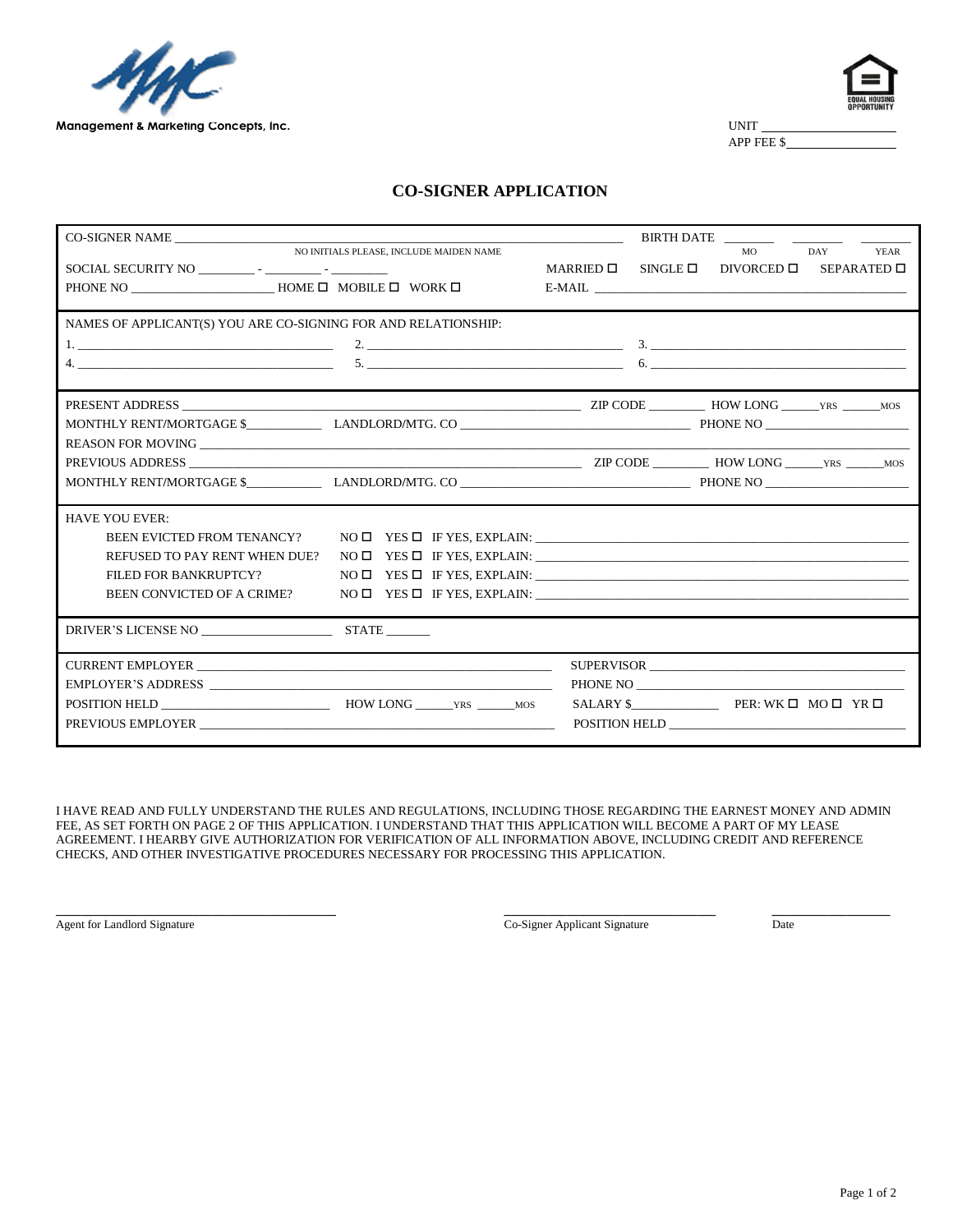



APP FEE \$

# **CO-SIGNER APPLICATION**

| CO-SIGNER NAME                                                 |                                                                                                       |                    | BIRTH DATE __________________ |            |                           |
|----------------------------------------------------------------|-------------------------------------------------------------------------------------------------------|--------------------|-------------------------------|------------|---------------------------|
|                                                                | NO INITIALS PLEASE, INCLUDE MAIDEN NAME                                                               |                    |                               | MO         | <b>DAY</b><br><b>YEAR</b> |
| SOCIAL SECURITY NO FILED BELOW AND SOCIAL SECURITY NO          |                                                                                                       | $MARRED$ $\square$ | $\texttt{SINGLE} \ \Box$      | DIVORCED □ | SEPARATED □               |
|                                                                |                                                                                                       |                    |                               |            |                           |
|                                                                |                                                                                                       |                    |                               |            |                           |
| NAMES OF APPLICANT(S) YOU ARE CO-SIGNING FOR AND RELATIONSHIP: |                                                                                                       |                    |                               |            |                           |
|                                                                |                                                                                                       |                    |                               |            |                           |
|                                                                |                                                                                                       |                    |                               |            |                           |
|                                                                |                                                                                                       |                    |                               |            |                           |
|                                                                |                                                                                                       |                    |                               |            |                           |
|                                                                |                                                                                                       |                    |                               |            |                           |
|                                                                |                                                                                                       |                    |                               |            |                           |
|                                                                |                                                                                                       |                    |                               |            |                           |
|                                                                |                                                                                                       |                    |                               |            |                           |
|                                                                |                                                                                                       |                    |                               |            |                           |
| <b>HAVE YOU EVER:</b>                                          |                                                                                                       |                    |                               |            |                           |
| <b>BEEN EVICTED FROM TENANCY?</b>                              | $\begin{tabular}{ll} \bf{NO} $\Box$ & \bf{YES} $\Box$ & \bf{IF} \bf{YES,} \bf{EXPLAN:} \end{tabular}$ |                    |                               |            |                           |
| REFUSED TO PAY RENT WHEN DUE?                                  |                                                                                                       |                    |                               |            |                           |
| FILED FOR BANKRUPTCY?                                          |                                                                                                       |                    |                               |            |                           |
| BEEN CONVICTED OF A CRIME?                                     |                                                                                                       |                    |                               |            |                           |
| DRIVER'S LICENSE NO STATE                                      |                                                                                                       |                    |                               |            |                           |
|                                                                |                                                                                                       |                    |                               |            |                           |
|                                                                |                                                                                                       |                    |                               |            |                           |
|                                                                |                                                                                                       |                    |                               | PHONE NO   |                           |
|                                                                |                                                                                                       |                    |                               |            |                           |
|                                                                |                                                                                                       |                    |                               |            |                           |
|                                                                |                                                                                                       |                    |                               |            |                           |

I HAVE READ AND FULLY UNDERSTAND THE RULES AND REGULATIONS, INCLUDING THOSE REGARDING THE EARNEST MONEY AND ADMIN FEE, AS SET FORTH ON PAGE 2 OF THIS APPLICATION. I UNDERSTAND THAT THIS APPLICATION WILL BECOME A PART OF MY LEASE AGREEMENT. I HEARBY GIVE AUTHORIZATION FOR VERIFICATION OF ALL INFORMATION ABOVE, INCLUDING CREDIT AND REFERENCE CHECKS, AND OTHER INVESTIGATIVE PROCEDURES NECESSARY FOR PROCESSING THIS APPLICATION.

**\_\_\_\_\_\_\_\_\_\_\_\_\_\_\_\_\_\_\_\_\_\_\_\_\_\_\_\_\_\_\_\_\_\_\_\_\_\_\_\_\_\_\_\_\_ \_\_\_\_\_\_\_\_\_\_\_\_\_\_\_\_\_\_\_\_\_\_\_\_\_\_\_\_\_\_\_\_\_\_ \_\_\_\_\_\_\_\_\_\_\_\_\_\_\_\_\_\_\_**

Agent for Landlord Signature Co-Signer Applicant Signature Date